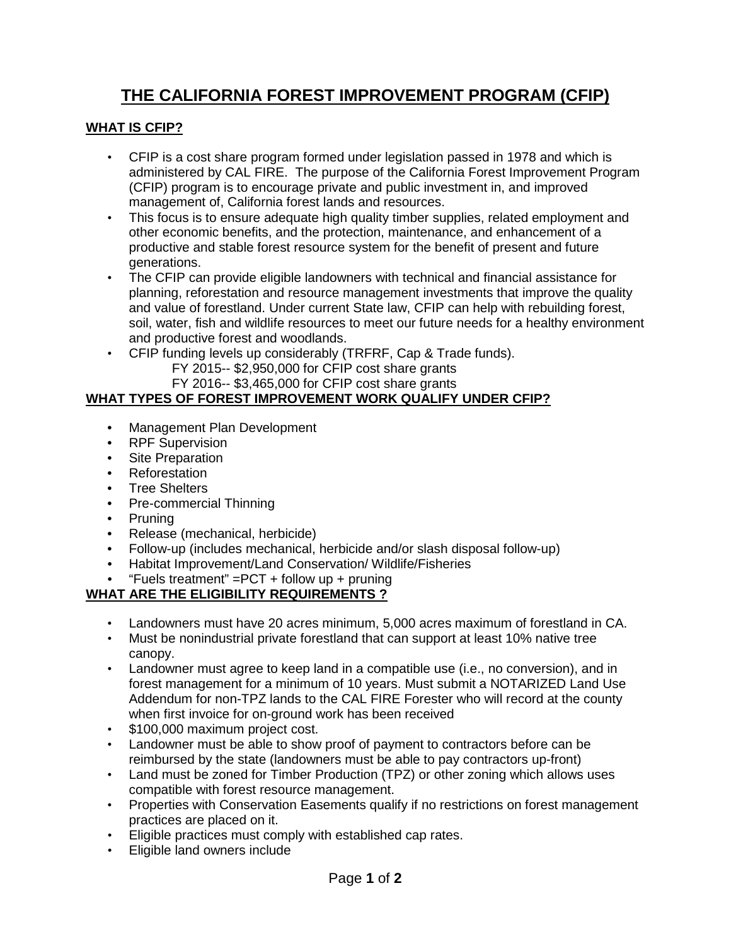# **THE CALIFORNIA FOREST IMPROVEMENT PROGRAM (CFIP)**

#### **WHAT IS CFIP?**

- CFIP is a cost share program formed under legislation passed in 1978 and which is administered by CAL FIRE. The purpose of the California Forest Improvement Program (CFIP) program is to encourage private and public investment in, and improved management of, California forest lands and resources.
- This focus is to ensure adequate high quality timber supplies, related employment and other economic benefits, and the protection, maintenance, and enhancement of a productive and stable forest resource system for the benefit of present and future generations.
- The CFIP can provide eligible landowners with technical and financial assistance for planning, reforestation and resource management investments that improve the quality and value of forestland. Under current State law, CFIP can help with rebuilding forest, soil, water, fish and wildlife resources to meet our future needs for a healthy environment and productive forest and woodlands.
- CFIP funding levels up considerably (TRFRF, Cap & Trade funds).
	- FY 2015-- \$2,950,000 for CFIP cost share grants
	- FY 2016-- \$3,465,000 for CFIP cost share grants

#### **WHAT TYPES OF FOREST IMPROVEMENT WORK QUALIFY UNDER CFIP?**

- Management Plan Development
- RPF Supervision
- Site Preparation
- Reforestation
- Tree Shelters
- Pre-commercial Thinning
- Pruning
- Release (mechanical, herbicide)
- Follow-up (includes mechanical, herbicide and/or slash disposal follow-up)
- Habitat Improvement/Land Conservation/ Wildlife/Fisheries
- "Fuels treatment" =PCT + follow up + pruning

# **WHAT ARE THE ELIGIBILITY REQUIREMENTS ?**

- Landowners must have 20 acres minimum, 5,000 acres maximum of forestland in CA.
- Must be nonindustrial private forestland that can support at least 10% native tree canopy.
- Landowner must agree to keep land in a compatible use (i.e., no conversion), and in forest management for a minimum of 10 years. Must submit a NOTARIZED Land Use Addendum for non-TPZ lands to the CAL FIRE Forester who will record at the county when first invoice for on-ground work has been received
- \$100,000 maximum project cost.
- Landowner must be able to show proof of payment to contractors before can be reimbursed by the state (landowners must be able to pay contractors up-front)
- Land must be zoned for Timber Production (TPZ) or other zoning which allows uses compatible with forest resource management.
- Properties with Conservation Easements qualify if no restrictions on forest management practices are placed on it.
- Eligible practices must comply with established cap rates.
- Eligible land owners include